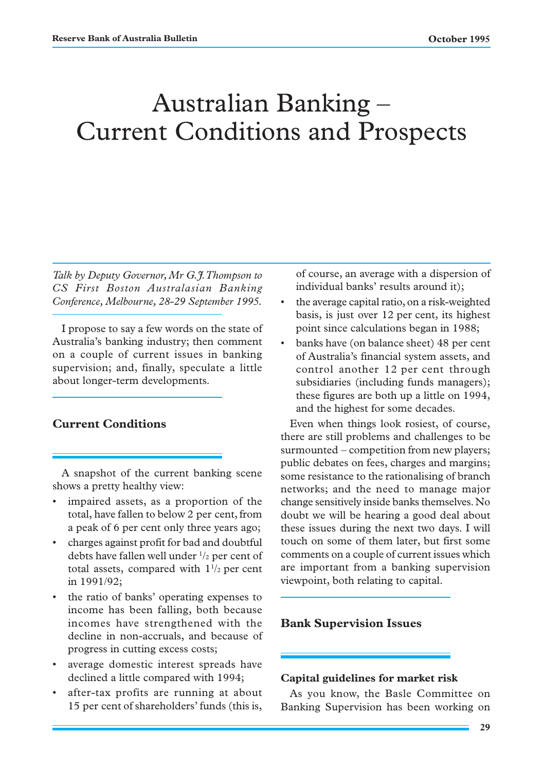# Australian Banking – Current Conditions and Prospects

*Talk by Deputy Governor, Mr G.J. Thompson to CS First Boston Australasian Banking Conference, Melbourne, 28-29 September 1995.*

I propose to say a few words on the state of Australia's banking industry; then comment on a couple of current issues in banking supervision; and, finally, speculate a little about longer-term developments.

# **Current Conditions**

A snapshot of the current banking scene shows a pretty healthy view:

- impaired assets, as a proportion of the total, have fallen to below 2 per cent, from a peak of 6 per cent only three years ago;
- charges against profit for bad and doubtful debts have fallen well under  $\frac{1}{2}$  per cent of total assets, compared with  $1\frac{1}{2}$  per cent in 1991/92;
- the ratio of banks' operating expenses to income has been falling, both because incomes have strengthened with the decline in non-accruals, and because of progress in cutting excess costs;
- average domestic interest spreads have declined a little compared with 1994;
- after-tax profits are running at about 15 per cent of shareholders' funds (this is,

of course, an average with a dispersion of individual banks' results around it);

- the average capital ratio, on a risk-weighted basis, is just over 12 per cent, its highest point since calculations began in 1988;
- banks have (on balance sheet) 48 per cent of Australia's financial system assets, and control another 12 per cent through subsidiaries (including funds managers); these figures are both up a little on 1994, and the highest for some decades.

Even when things look rosiest, of course, there are still problems and challenges to be surmounted – competition from new players; public debates on fees, charges and margins; some resistance to the rationalising of branch networks; and the need to manage major change sensitively inside banks themselves. No doubt we will be hearing a good deal about these issues during the next two days. I will touch on some of them later, but first some comments on a couple of current issues which are important from a banking supervision viewpoint, both relating to capital.

#### **Bank Supervision Issues**

#### **Capital guidelines for market risk**

As you know, the Basle Committee on Banking Supervision has been working on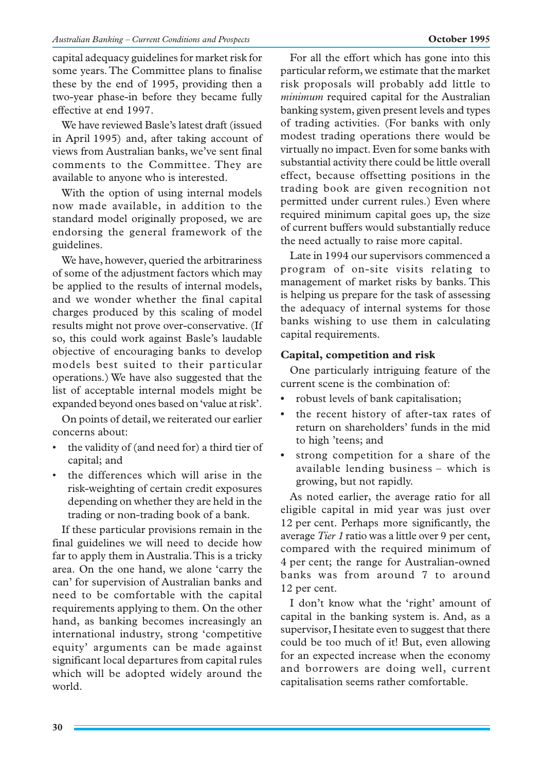capital adequacy guidelines for market risk for some years. The Committee plans to finalise these by the end of 1995, providing then a two-year phase-in before they became fully effective at end 1997.

We have reviewed Basle's latest draft (issued in April 1995) and, after taking account of views from Australian banks, we've sent final comments to the Committee. They are available to anyone who is interested.

With the option of using internal models now made available, in addition to the standard model originally proposed, we are endorsing the general framework of the guidelines.

We have, however, queried the arbitrariness of some of the adjustment factors which may be applied to the results of internal models, and we wonder whether the final capital charges produced by this scaling of model results might not prove over-conservative. (If so, this could work against Basle's laudable objective of encouraging banks to develop models best suited to their particular operations.) We have also suggested that the list of acceptable internal models might be expanded beyond ones based on 'value at risk'.

On points of detail, we reiterated our earlier concerns about:

- the validity of (and need for) a third tier of capital; and
- the differences which will arise in the risk-weighting of certain credit exposures depending on whether they are held in the trading or non-trading book of a bank.

If these particular provisions remain in the final guidelines we will need to decide how far to apply them in Australia. This is a tricky area. On the one hand, we alone 'carry the can' for supervision of Australian banks and need to be comfortable with the capital requirements applying to them. On the other hand, as banking becomes increasingly an international industry, strong 'competitive equity' arguments can be made against significant local departures from capital rules which will be adopted widely around the world.

For all the effort which has gone into this particular reform, we estimate that the market risk proposals will probably add little to *minimum* required capital for the Australian banking system, given present levels and types of trading activities. (For banks with only modest trading operations there would be virtually no impact. Even for some banks with substantial activity there could be little overall effect, because offsetting positions in the trading book are given recognition not permitted under current rules.) Even where required minimum capital goes up, the size of current buffers would substantially reduce the need actually to raise more capital.

Late in 1994 our supervisors commenced a program of on-site visits relating to management of market risks by banks. This is helping us prepare for the task of assessing the adequacy of internal systems for those banks wishing to use them in calculating capital requirements.

## **Capital, competition and risk**

One particularly intriguing feature of the current scene is the combination of:

- **•** robust levels of bank capitalisation;
- **•** the recent history of after-tax rates of return on shareholders' funds in the mid to high 'teens; and
- **•** strong competition for a share of the available lending business – which is growing, but not rapidly.

As noted earlier, the average ratio for all eligible capital in mid year was just over 12 per cent. Perhaps more significantly, the average *Tier 1* ratio was a little over 9 per cent, compared with the required minimum of 4 per cent; the range for Australian-owned banks was from around 7 to around 12 per cent.

I don't know what the 'right' amount of capital in the banking system is. And, as a supervisor, I hesitate even to suggest that there could be too much of it! But, even allowing for an expected increase when the economy and borrowers are doing well, current capitalisation seems rather comfortable.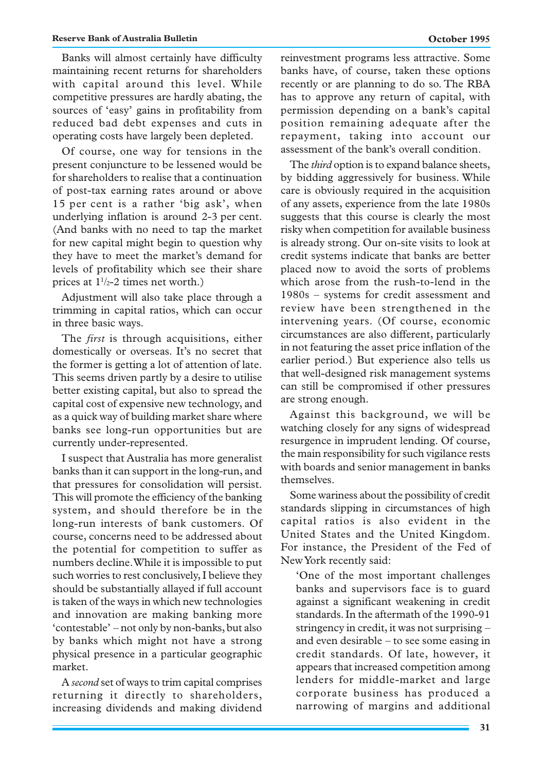Banks will almost certainly have difficulty maintaining recent returns for shareholders with capital around this level. While competitive pressures are hardly abating, the sources of 'easy' gains in profitability from reduced bad debt expenses and cuts in operating costs have largely been depleted.

Of course, one way for tensions in the present conjuncture to be lessened would be for shareholders to realise that a continuation of post-tax earning rates around or above 15 per cent is a rather 'big ask', when underlying inflation is around 2-3 per cent. (And banks with no need to tap the market for new capital might begin to question why they have to meet the market's demand for levels of profitability which see their share prices at  $1\frac{1}{2}$ -2 times net worth.)

Adjustment will also take place through a trimming in capital ratios, which can occur in three basic ways.

The *first* is through acquisitions, either domestically or overseas. It's no secret that the former is getting a lot of attention of late. This seems driven partly by a desire to utilise better existing capital, but also to spread the capital cost of expensive new technology, and as a quick way of building market share where banks see long-run opportunities but are currently under-represented.

I suspect that Australia has more generalist banks than it can support in the long-run, and that pressures for consolidation will persist. This will promote the efficiency of the banking system, and should therefore be in the long-run interests of bank customers. Of course, concerns need to be addressed about the potential for competition to suffer as numbers decline. While it is impossible to put such worries to rest conclusively, I believe they should be substantially allayed if full account is taken of the ways in which new technologies and innovation are making banking more 'contestable' – not only by non-banks, but also by banks which might not have a strong physical presence in a particular geographic market.

A *second* set of ways to trim capital comprises returning it directly to shareholders, increasing dividends and making dividend reinvestment programs less attractive. Some banks have, of course, taken these options recently or are planning to do so. The RBA has to approve any return of capital, with permission depending on a bank's capital position remaining adequate after the repayment, taking into account our assessment of the bank's overall condition.

The *third* option is to expand balance sheets, by bidding aggressively for business. While care is obviously required in the acquisition of any assets, experience from the late 1980s suggests that this course is clearly the most risky when competition for available business is already strong. Our on-site visits to look at credit systems indicate that banks are better placed now to avoid the sorts of problems which arose from the rush-to-lend in the 1980s – systems for credit assessment and review have been strengthened in the intervening years. (Of course, economic circumstances are also different, particularly in not featuring the asset price inflation of the earlier period.) But experience also tells us that well-designed risk management systems can still be compromised if other pressures are strong enough.

Against this background, we will be watching closely for any signs of widespread resurgence in imprudent lending. Of course, the main responsibility for such vigilance rests with boards and senior management in banks themselves.

Some wariness about the possibility of credit standards slipping in circumstances of high capital ratios is also evident in the United States and the United Kingdom. For instance, the President of the Fed of New York recently said:

'One of the most important challenges banks and supervisors face is to guard against a significant weakening in credit standards. In the aftermath of the 1990-91 stringency in credit, it was not surprising – and even desirable – to see some easing in credit standards. Of late, however, it appears that increased competition among lenders for middle-market and large corporate business has produced a narrowing of margins and additional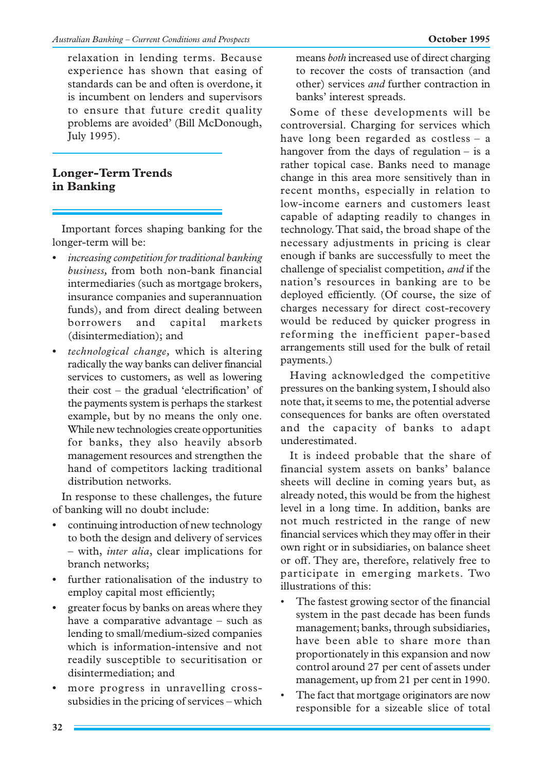relaxation in lending terms. Because experience has shown that easing of standards can be and often is overdone, it is incumbent on lenders and supervisors to ensure that future credit quality problems are avoided' (Bill McDonough, July 1995).

# **Longer-Term Trends in Banking**

Important forces shaping banking for the longer-term will be:

- **•** *increasing competition for traditional banking business,* from both non-bank financial intermediaries (such as mortgage brokers, insurance companies and superannuation funds), and from direct dealing between borrowers and capital markets (disintermediation); and
- **•** *technological change,* which is altering radically the way banks can deliver financial services to customers, as well as lowering their cost – the gradual 'electrification' of the payments system is perhaps the starkest example, but by no means the only one. While new technologies create opportunities for banks, they also heavily absorb management resources and strengthen the hand of competitors lacking traditional distribution networks.

In response to these challenges, the future of banking will no doubt include:

- **•** continuing introduction of new technology to both the design and delivery of services – with, *inter alia*, clear implications for branch networks;
- **•** further rationalisation of the industry to employ capital most efficiently;
- **•** greater focus by banks on areas where they have a comparative advantage – such as lending to small/medium-sized companies which is information-intensive and not readily susceptible to securitisation or disintermediation; and
- **•** more progress in unravelling crosssubsidies in the pricing of services – which

means *both* increased use of direct charging to recover the costs of transaction (and other) services *and* further contraction in banks' interest spreads.

Some of these developments will be controversial. Charging for services which have long been regarded as costless – a hangover from the days of regulation – is a rather topical case. Banks need to manage change in this area more sensitively than in recent months, especially in relation to low-income earners and customers least capable of adapting readily to changes in technology. That said, the broad shape of the necessary adjustments in pricing is clear enough if banks are successfully to meet the challenge of specialist competition, *and* if the nation's resources in banking are to be deployed efficiently. (Of course, the size of charges necessary for direct cost-recovery would be reduced by quicker progress in reforming the inefficient paper-based arrangements still used for the bulk of retail payments.)

Having acknowledged the competitive pressures on the banking system, I should also note that, it seems to me, the potential adverse consequences for banks are often overstated and the capacity of banks to adapt underestimated.

It is indeed probable that the share of financial system assets on banks' balance sheets will decline in coming years but, as already noted, this would be from the highest level in a long time. In addition, banks are not much restricted in the range of new financial services which they may offer in their own right or in subsidiaries, on balance sheet or off. They are, therefore, relatively free to participate in emerging markets. Two illustrations of this:

- The fastest growing sector of the financial system in the past decade has been funds management; banks, through subsidiaries, have been able to share more than proportionately in this expansion and now control around 27 per cent of assets under management, up from 21 per cent in 1990.
- The fact that mortgage originators are now responsible for a sizeable slice of total